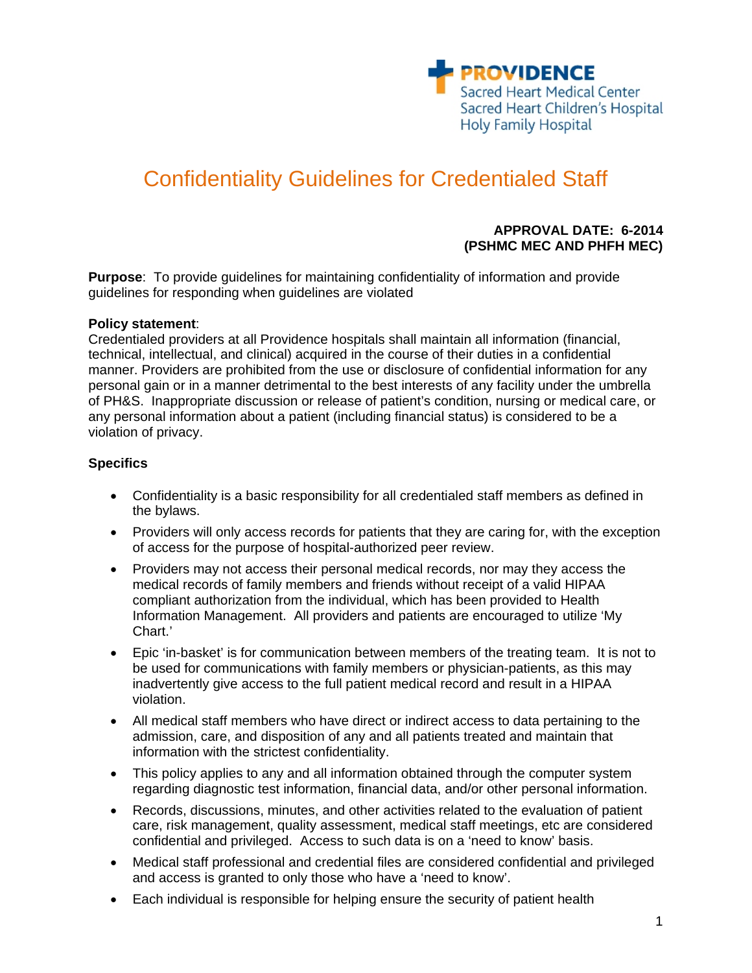

# Confidentiality Guidelines for Credentialed Staff

#### **APPROVAL DATE: 6-2014 (PSHMC MEC AND PHFH MEC)**

**Purpose**: To provide guidelines for maintaining confidentiality of information and provide guidelines for responding when guidelines are violated

#### **Policy statement**:

Credentialed providers at all Providence hospitals shall maintain all information (financial, technical, intellectual, and clinical) acquired in the course of their duties in a confidential manner. Providers are prohibited from the use or disclosure of confidential information for any personal gain or in a manner detrimental to the best interests of any facility under the umbrella of PH&S. Inappropriate discussion or release of patient's condition, nursing or medical care, or any personal information about a patient (including financial status) is considered to be a violation of privacy.

#### **Specifics**

- Confidentiality is a basic responsibility for all credentialed staff members as defined in the bylaws.
- Providers will only access records for patients that they are caring for, with the exception of access for the purpose of hospital-authorized peer review.
- Providers may not access their personal medical records, nor may they access the medical records of family members and friends without receipt of a valid HIPAA compliant authorization from the individual, which has been provided to Health Information Management. All providers and patients are encouraged to utilize 'My Chart.'
- Epic 'in-basket' is for communication between members of the treating team. It is not to be used for communications with family members or physician-patients, as this may inadvertently give access to the full patient medical record and result in a HIPAA violation.
- All medical staff members who have direct or indirect access to data pertaining to the admission, care, and disposition of any and all patients treated and maintain that information with the strictest confidentiality.
- This policy applies to any and all information obtained through the computer system regarding diagnostic test information, financial data, and/or other personal information.
- Records, discussions, minutes, and other activities related to the evaluation of patient care, risk management, quality assessment, medical staff meetings, etc are considered confidential and privileged. Access to such data is on a 'need to know' basis.
- Medical staff professional and credential files are considered confidential and privileged and access is granted to only those who have a 'need to know'.
- Each individual is responsible for helping ensure the security of patient health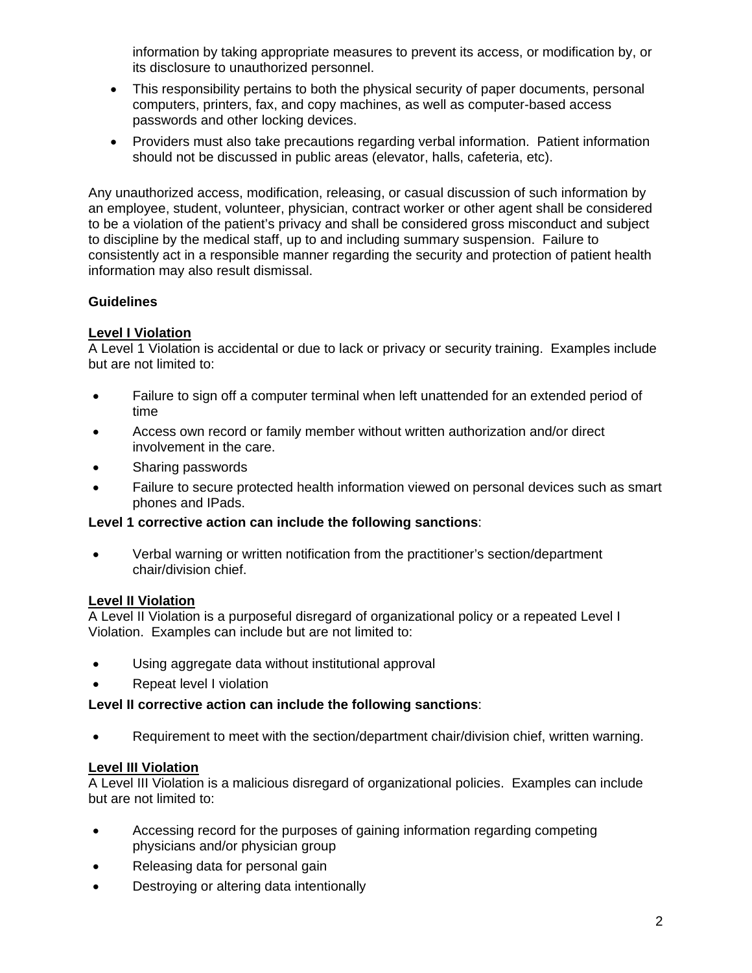information by taking appropriate measures to prevent its access, or modification by, or its disclosure to unauthorized personnel.

- This responsibility pertains to both the physical security of paper documents, personal computers, printers, fax, and copy machines, as well as computer-based access passwords and other locking devices.
- Providers must also take precautions regarding verbal information. Patient information should not be discussed in public areas (elevator, halls, cafeteria, etc).

Any unauthorized access, modification, releasing, or casual discussion of such information by an employee, student, volunteer, physician, contract worker or other agent shall be considered to be a violation of the patient's privacy and shall be considered gross misconduct and subject to discipline by the medical staff, up to and including summary suspension. Failure to consistently act in a responsible manner regarding the security and protection of patient health information may also result dismissal.

# **Guidelines**

#### **Level I Violation**

A Level 1 Violation is accidental or due to lack or privacy or security training. Examples include but are not limited to:

- Failure to sign off a computer terminal when left unattended for an extended period of time
- Access own record or family member without written authorization and/or direct involvement in the care.
- Sharing passwords
- Failure to secure protected health information viewed on personal devices such as smart phones and IPads.

# **Level 1 corrective action can include the following sanctions**:

 Verbal warning or written notification from the practitioner's section/department chair/division chief.

# **Level II Violation**

A Level II Violation is a purposeful disregard of organizational policy or a repeated Level I Violation. Examples can include but are not limited to:

- Using aggregate data without institutional approval
- Repeat level I violation

# **Level II corrective action can include the following sanctions**:

Requirement to meet with the section/department chair/division chief, written warning.

# **Level III Violation**

A Level III Violation is a malicious disregard of organizational policies. Examples can include but are not limited to:

- Accessing record for the purposes of gaining information regarding competing physicians and/or physician group
- Releasing data for personal gain
- Destroying or altering data intentionally